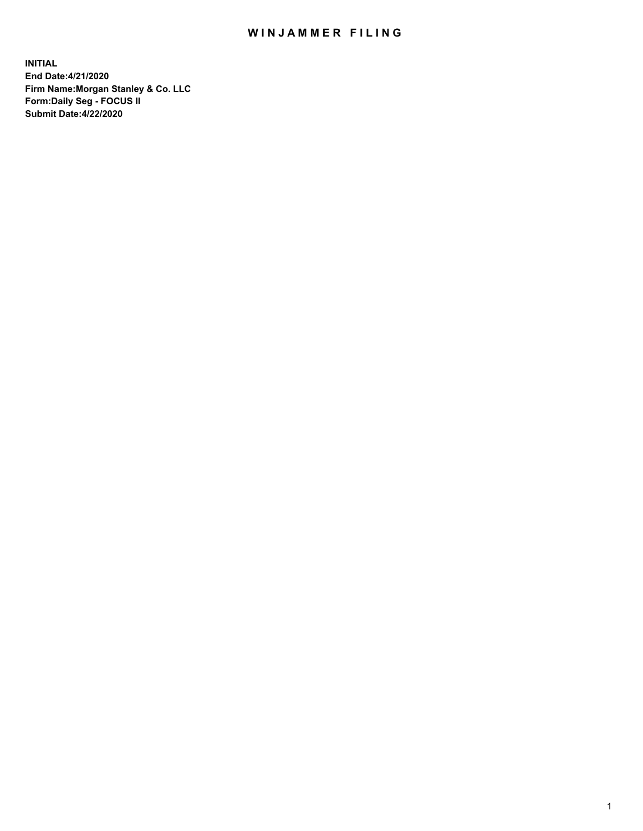## WIN JAMMER FILING

**INITIAL End Date:4/21/2020 Firm Name:Morgan Stanley & Co. LLC Form:Daily Seg - FOCUS II Submit Date:4/22/2020**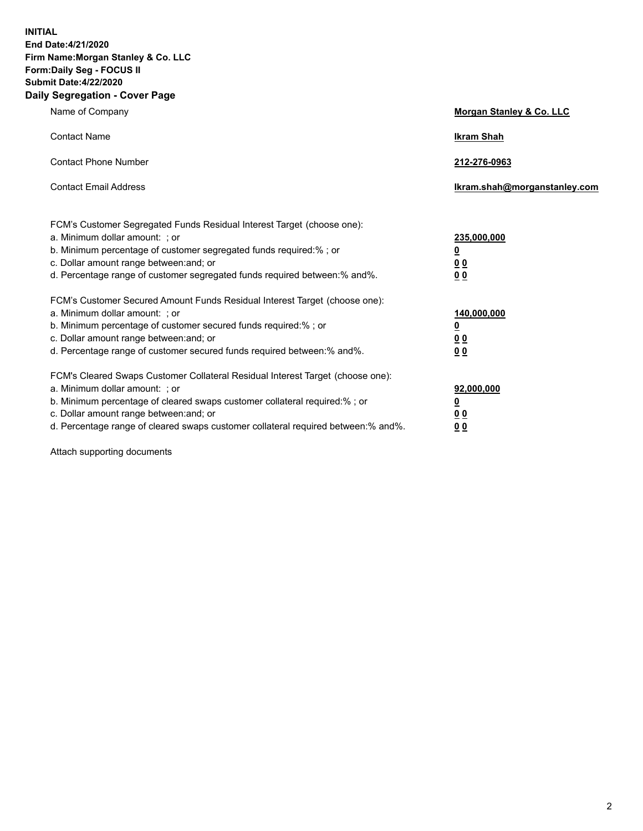**INITIAL End Date:4/21/2020 Firm Name:Morgan Stanley & Co. LLC Form:Daily Seg - FOCUS II Submit Date:4/22/2020 Daily Segregation - Cover Page**

| Name of Company                                                                                                                                                                                                                                                                                                                | Morgan Stanley & Co. LLC                                |
|--------------------------------------------------------------------------------------------------------------------------------------------------------------------------------------------------------------------------------------------------------------------------------------------------------------------------------|---------------------------------------------------------|
| <b>Contact Name</b>                                                                                                                                                                                                                                                                                                            | <b>Ikram Shah</b>                                       |
| <b>Contact Phone Number</b>                                                                                                                                                                                                                                                                                                    | 212-276-0963                                            |
| <b>Contact Email Address</b>                                                                                                                                                                                                                                                                                                   | Ikram.shah@morganstanley.com                            |
| FCM's Customer Segregated Funds Residual Interest Target (choose one):<br>a. Minimum dollar amount: ; or<br>b. Minimum percentage of customer segregated funds required:% ; or<br>c. Dollar amount range between: and; or<br>d. Percentage range of customer segregated funds required between:% and%.                         | 235,000,000<br><u>0</u><br><u>00</u><br><u>00</u>       |
| FCM's Customer Secured Amount Funds Residual Interest Target (choose one):<br>a. Minimum dollar amount: ; or<br>b. Minimum percentage of customer secured funds required:%; or<br>c. Dollar amount range between: and; or<br>d. Percentage range of customer secured funds required between:% and%.                            | 140,000,000<br><u>0</u><br><u>0 0</u><br>0 <sub>0</sub> |
| FCM's Cleared Swaps Customer Collateral Residual Interest Target (choose one):<br>a. Minimum dollar amount: ; or<br>b. Minimum percentage of cleared swaps customer collateral required:% ; or<br>c. Dollar amount range between: and; or<br>d. Percentage range of cleared swaps customer collateral required between:% and%. | 92,000,000<br><u>0</u><br><u>00</u><br>00               |

Attach supporting documents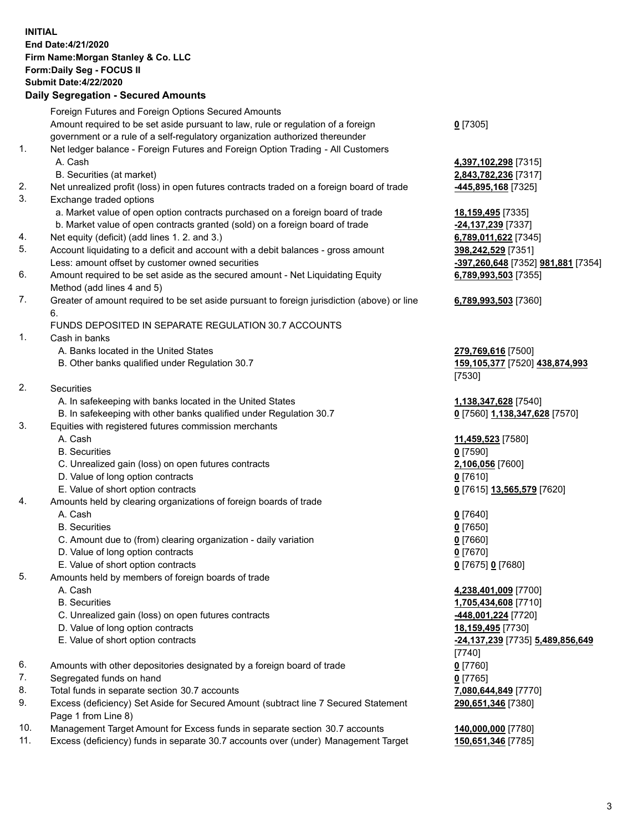## **INITIAL End Date:4/21/2020 Firm Name:Morgan Stanley & Co. LLC Form:Daily Seg - FOCUS II Submit Date:4/22/2020**

## **Daily Segregation - Secured Amounts**

|     | Foreign Futures and Foreign Options Secured Amounts                                                        |                                    |
|-----|------------------------------------------------------------------------------------------------------------|------------------------------------|
|     | Amount required to be set aside pursuant to law, rule or regulation of a foreign                           | $0$ [7305]                         |
|     | government or a rule of a self-regulatory organization authorized thereunder                               |                                    |
| 1.  | Net ledger balance - Foreign Futures and Foreign Option Trading - All Customers                            |                                    |
|     | A. Cash                                                                                                    | 4,397,102,298 [7315]               |
|     | B. Securities (at market)                                                                                  | 2,843,782,236 [7317]               |
| 2.  | Net unrealized profit (loss) in open futures contracts traded on a foreign board of trade                  | 445,895,168 [7325]                 |
| 3.  | Exchange traded options                                                                                    |                                    |
|     | a. Market value of open option contracts purchased on a foreign board of trade                             | 18,159,495 [7335]                  |
|     | b. Market value of open contracts granted (sold) on a foreign board of trade                               | -24,137,239 [7337]                 |
| 4.  | Net equity (deficit) (add lines 1. 2. and 3.)                                                              | 6,789,011,622 [7345]               |
| 5.  | Account liquidating to a deficit and account with a debit balances - gross amount                          | 398,242,529 [7351]                 |
|     | Less: amount offset by customer owned securities                                                           | -397,260,648 [7352] 981,881 [7354] |
| 6.  | Amount required to be set aside as the secured amount - Net Liquidating Equity                             | 6,789,993,503 [7355]               |
|     | Method (add lines 4 and 5)                                                                                 |                                    |
| 7.  | Greater of amount required to be set aside pursuant to foreign jurisdiction (above) or line<br>6.          | 6,789,993,503 [7360]               |
|     | FUNDS DEPOSITED IN SEPARATE REGULATION 30.7 ACCOUNTS                                                       |                                    |
| 1.  | Cash in banks                                                                                              |                                    |
|     | A. Banks located in the United States                                                                      | 279,769,616 [7500]                 |
|     | B. Other banks qualified under Regulation 30.7                                                             | 159,105,377 [7520] 438,874,993     |
|     |                                                                                                            | [7530]                             |
| 2.  | <b>Securities</b>                                                                                          |                                    |
|     | A. In safekeeping with banks located in the United States                                                  | 1,138,347,628 [7540]               |
|     | B. In safekeeping with other banks qualified under Regulation 30.7                                         | 0 [7560] 1,138,347,628 [7570]      |
| 3.  | Equities with registered futures commission merchants                                                      |                                    |
|     | A. Cash                                                                                                    | 11,459,523 [7580]                  |
|     | <b>B.</b> Securities                                                                                       | $0$ [7590]                         |
|     | C. Unrealized gain (loss) on open futures contracts                                                        | 2,106,056 [7600]                   |
|     | D. Value of long option contracts                                                                          | $0$ [7610]                         |
|     | E. Value of short option contracts                                                                         | 0 [7615] 13,565,579 [7620]         |
| 4.  | Amounts held by clearing organizations of foreign boards of trade                                          |                                    |
|     | A. Cash                                                                                                    | $Q$ [7640]                         |
|     | <b>B.</b> Securities                                                                                       | $0$ [7650]                         |
|     | C. Amount due to (from) clearing organization - daily variation                                            | $0$ [7660]                         |
|     | D. Value of long option contracts                                                                          | $0$ [7670]                         |
|     | E. Value of short option contracts                                                                         | 0 [7675] 0 [7680]                  |
| 5.  | Amounts held by members of foreign boards of trade                                                         |                                    |
|     | A. Cash                                                                                                    | 4,238,401,009 [7700]               |
|     | <b>B.</b> Securities                                                                                       | 1,705,434,608 [7710]               |
|     | C. Unrealized gain (loss) on open futures contracts                                                        | -448,001,224 [7720]                |
|     | D. Value of long option contracts                                                                          | 18,159,495 [7730]                  |
|     | E. Value of short option contracts                                                                         | -24,137,239 [7735] 5,489,856,649   |
|     |                                                                                                            | $[7740]$                           |
| 6.  | Amounts with other depositories designated by a foreign board of trade                                     | $0$ [7760]                         |
| 7.  | Segregated funds on hand                                                                                   | $0$ [7765]                         |
| 8.  | Total funds in separate section 30.7 accounts                                                              | 7,080,644,849 [7770]               |
| 9.  | Excess (deficiency) Set Aside for Secured Amount (subtract line 7 Secured Statement<br>Page 1 from Line 8) | 290,651,346 [7380]                 |
| 10. | Management Target Amount for Excess funds in separate section 30.7 accounts                                | 140,000,000 [7780]                 |

11. Excess (deficiency) funds in separate 30.7 accounts over (under) Management Target **150,651,346** [7785]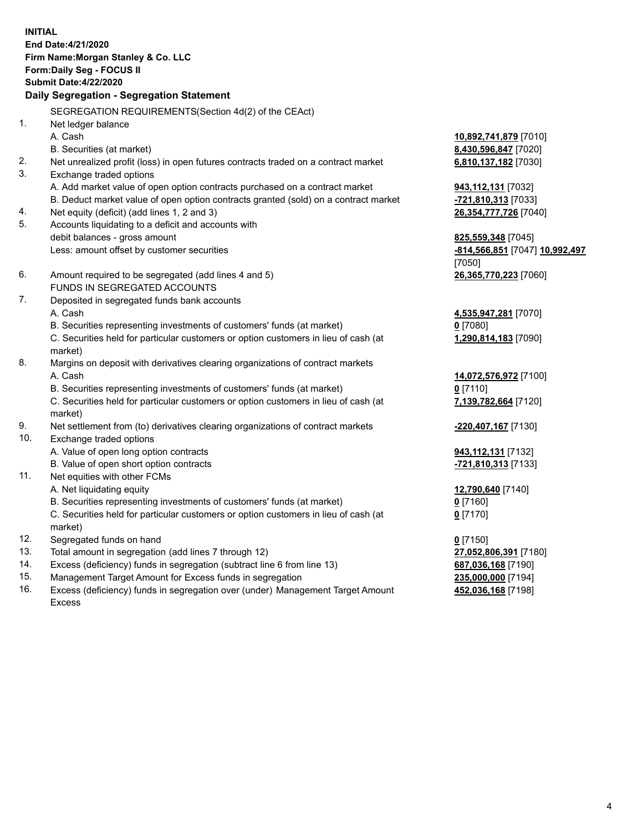**INITIAL End Date:4/21/2020 Firm Name:Morgan Stanley & Co. LLC Form:Daily Seg - FOCUS II Submit Date:4/22/2020 Daily Segregation - Segregation Statement** SEGREGATION REQUIREMENTS(Section 4d(2) of the CEAct) 1. Net ledger balance A. Cash **10,892,741,879** [7010] B. Securities (at market) **8,430,596,847** [7020] 2. Net unrealized profit (loss) in open futures contracts traded on a contract market **6,810,137,182** [7030] 3. Exchange traded options A. Add market value of open option contracts purchased on a contract market **943,112,131** [7032] B. Deduct market value of open option contracts granted (sold) on a contract market **-721,810,313** [7033] 4. Net equity (deficit) (add lines 1, 2 and 3) **26,354,777,726** [7040] 5. Accounts liquidating to a deficit and accounts with debit balances - gross amount **825,559,348** [7045] Less: amount offset by customer securities **-814,566,851** [7047] **10,992,497** [7050] 6. Amount required to be segregated (add lines 4 and 5) **26,365,770,223** [7060] FUNDS IN SEGREGATED ACCOUNTS 7. Deposited in segregated funds bank accounts A. Cash **4,535,947,281** [7070] B. Securities representing investments of customers' funds (at market) **0** [7080] C. Securities held for particular customers or option customers in lieu of cash (at market) **1,290,814,183** [7090] 8. Margins on deposit with derivatives clearing organizations of contract markets A. Cash **14,072,576,972** [7100] B. Securities representing investments of customers' funds (at market) **0** [7110] C. Securities held for particular customers or option customers in lieu of cash (at market) **7,139,782,664** [7120] 9. Net settlement from (to) derivatives clearing organizations of contract markets **-220,407,167** [7130] 10. Exchange traded options A. Value of open long option contracts **943,112,131** [7132] B. Value of open short option contracts **-721,810,313** [7133] 11. Net equities with other FCMs A. Net liquidating equity **12,790,640** [7140] B. Securities representing investments of customers' funds (at market) **0** [7160] C. Securities held for particular customers or option customers in lieu of cash (at market) **0** [7170] 12. Segregated funds on hand **0** [7150] 13. Total amount in segregation (add lines 7 through 12) **27,052,806,391** [7180] 14. Excess (deficiency) funds in segregation (subtract line 6 from line 13) **687,036,168** [7190] 15. Management Target Amount for Excess funds in segregation **235,000,000** [7194]

16. Excess (deficiency) funds in segregation over (under) Management Target Amount

Excess

4

**452,036,168** [7198]